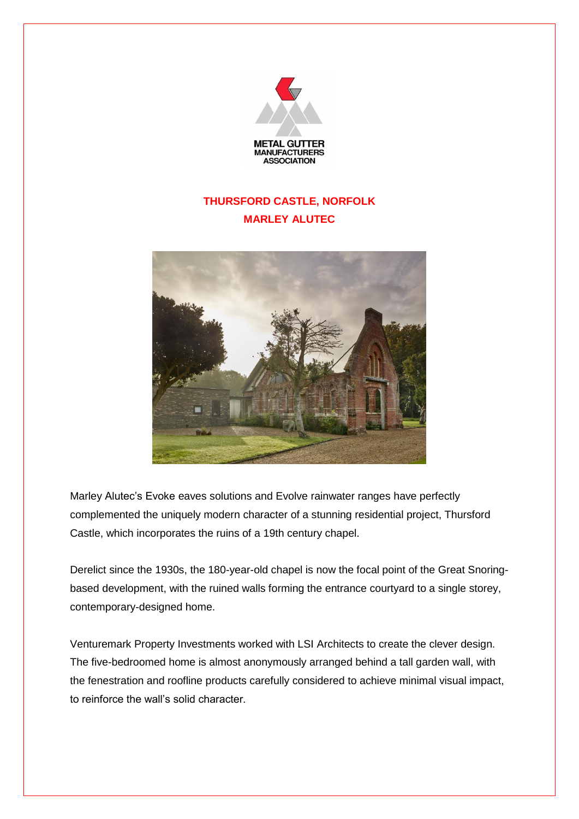

## **THURSFORD CASTLE, NORFOLK MARLEY ALUTEC**



Marley Alutec's Evoke eaves solutions and Evolve rainwater ranges have perfectly complemented the uniquely modern character of a stunning residential project, Thursford Castle, which incorporates the ruins of a 19th century chapel.

Derelict since the 1930s, the 180-year-old chapel is now the focal point of the Great Snoringbased development, with the ruined walls forming the entrance courtyard to a single storey, contemporary-designed home.

Venturemark Property Investments worked with LSI Architects to create the clever design. The five-bedroomed home is almost anonymously arranged behind a tall garden wall, with the fenestration and roofline products carefully considered to achieve minimal visual impact, to reinforce the wall's solid character.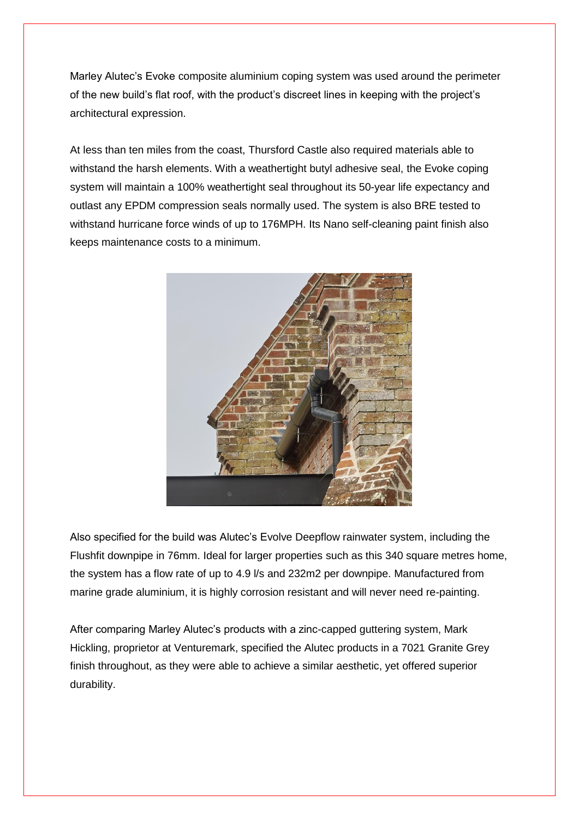Marley Alutec's Evoke composite aluminium coping system was used around the perimeter of the new build's flat roof, with the product's discreet lines in keeping with the project's architectural expression.

At less than ten miles from the coast, Thursford Castle also required materials able to withstand the harsh elements. With a weathertight butyl adhesive seal, the Evoke coping system will maintain a 100% weathertight seal throughout its 50-year life expectancy and outlast any EPDM compression seals normally used. The system is also BRE tested to withstand hurricane force winds of up to 176MPH. Its Nano self-cleaning paint finish also keeps maintenance costs to a minimum.



Also specified for the build was Alutec's Evolve Deepflow rainwater system, including the Flushfit downpipe in 76mm. Ideal for larger properties such as this 340 square metres home, the system has a flow rate of up to 4.9 l/s and 232m2 per downpipe. Manufactured from marine grade aluminium, it is highly corrosion resistant and will never need re-painting.

After comparing Marley Alutec's products with a zinc-capped guttering system, Mark Hickling, proprietor at Venturemark, specified the Alutec products in a 7021 Granite Grey finish throughout, as they were able to achieve a similar aesthetic, yet offered superior durability.